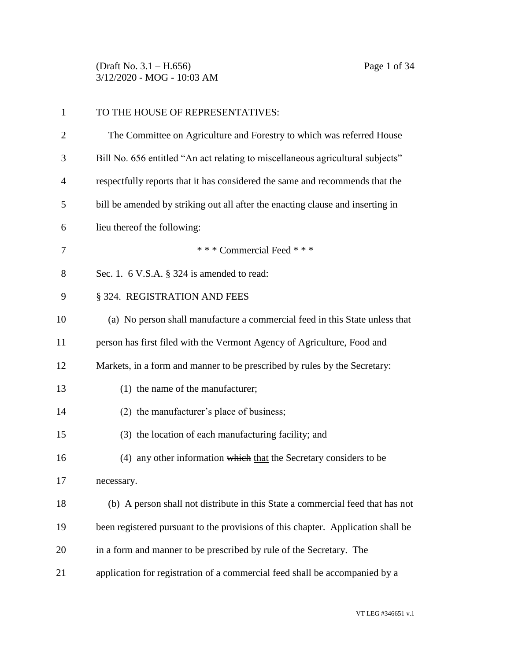(Draft No. 3.1 – H.656) Page 1 of 34 3/12/2020 - MOG - 10:03 AM

| $\mathbf{1}$ | TO THE HOUSE OF REPRESENTATIVES:                                                 |
|--------------|----------------------------------------------------------------------------------|
| 2            | The Committee on Agriculture and Forestry to which was referred House            |
| 3            | Bill No. 656 entitled "An act relating to miscellaneous agricultural subjects"   |
| 4            | respectfully reports that it has considered the same and recommends that the     |
| 5            | bill be amended by striking out all after the enacting clause and inserting in   |
| 6            | lieu thereof the following:                                                      |
| 7            | *** Commercial Feed ***                                                          |
| 8            | Sec. 1. $6$ V.S.A. $\S$ 324 is amended to read:                                  |
| 9            | § 324. REGISTRATION AND FEES                                                     |
| 10           | (a) No person shall manufacture a commercial feed in this State unless that      |
| 11           | person has first filed with the Vermont Agency of Agriculture, Food and          |
| 12           | Markets, in a form and manner to be prescribed by rules by the Secretary:        |
| 13           | (1) the name of the manufacturer;                                                |
| 14           | (2) the manufacturer's place of business;                                        |
| 15           | (3) the location of each manufacturing facility; and                             |
| 16           | (4) any other information which that the Secretary considers to be               |
| 17           | necessary.                                                                       |
| 18           | (b) A person shall not distribute in this State a commercial feed that has not   |
| 19           | been registered pursuant to the provisions of this chapter. Application shall be |
| 20           | in a form and manner to be prescribed by rule of the Secretary. The              |
| 21           | application for registration of a commercial feed shall be accompanied by a      |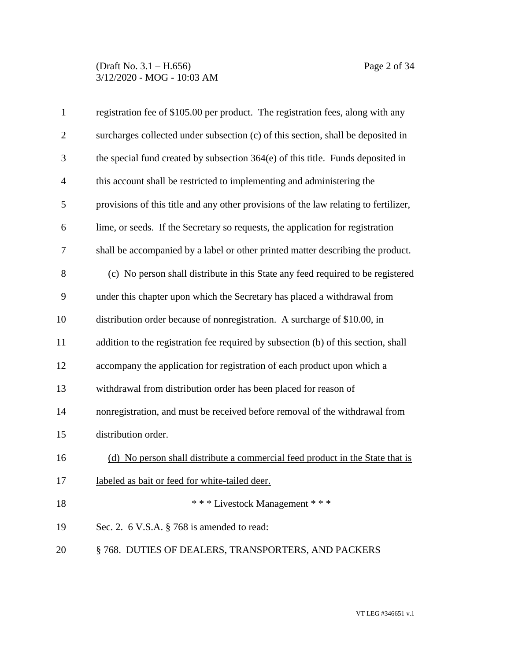### (Draft No. 3.1 – H.656) Page 2 of 34 3/12/2020 - MOG - 10:03 AM

| $\mathbf{1}$   | registration fee of \$105.00 per product. The registration fees, along with any      |
|----------------|--------------------------------------------------------------------------------------|
| $\overline{2}$ | surcharges collected under subsection (c) of this section, shall be deposited in     |
| 3              | the special fund created by subsection 364(e) of this title. Funds deposited in      |
| $\overline{4}$ | this account shall be restricted to implementing and administering the               |
| 5              | provisions of this title and any other provisions of the law relating to fertilizer, |
| 6              | lime, or seeds. If the Secretary so requests, the application for registration       |
| $\tau$         | shall be accompanied by a label or other printed matter describing the product.      |
| 8              | (c) No person shall distribute in this State any feed required to be registered      |
| 9              | under this chapter upon which the Secretary has placed a withdrawal from             |
| 10             | distribution order because of nonregistration. A surcharge of \$10.00, in            |
| 11             | addition to the registration fee required by subsection (b) of this section, shall   |
| 12             | accompany the application for registration of each product upon which a              |
| 13             | withdrawal from distribution order has been placed for reason of                     |
| 14             | nonregistration, and must be received before removal of the withdrawal from          |
| 15             | distribution order.                                                                  |
| 16             | (d) No person shall distribute a commercial feed product in the State that is        |
| 17             | labeled as bait or feed for white-tailed deer.                                       |
| 18             | *** Livestock Management ***                                                         |
| 19             | Sec. 2. $6$ V.S.A. $\S$ 768 is amended to read:                                      |
| 20             | §768. DUTIES OF DEALERS, TRANSPORTERS, AND PACKERS                                   |
|                |                                                                                      |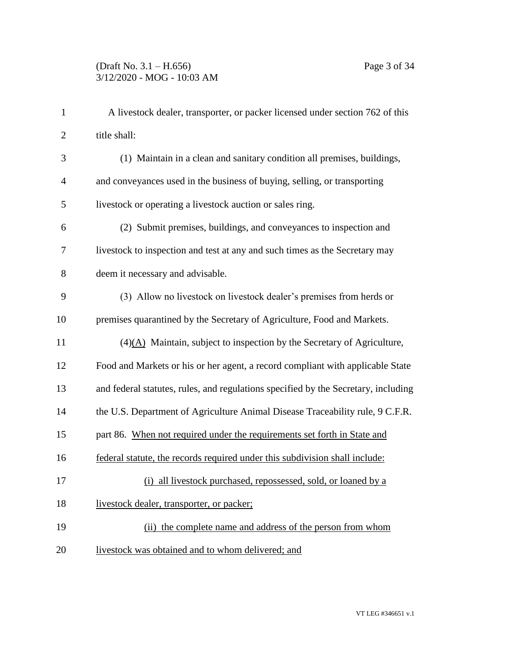| $\mathbf{1}$   | A livestock dealer, transporter, or packer licensed under section 762 of this      |
|----------------|------------------------------------------------------------------------------------|
| $\overline{2}$ | title shall:                                                                       |
| 3              | (1) Maintain in a clean and sanitary condition all premises, buildings,            |
| $\overline{4}$ | and conveyances used in the business of buying, selling, or transporting           |
| 5              | livestock or operating a livestock auction or sales ring.                          |
| 6              | (2) Submit premises, buildings, and conveyances to inspection and                  |
| 7              | livestock to inspection and test at any and such times as the Secretary may        |
| 8              | deem it necessary and advisable.                                                   |
| 9              | (3) Allow no livestock on livestock dealer's premises from herds or                |
| 10             | premises quarantined by the Secretary of Agriculture, Food and Markets.            |
| 11             | $(4)(A)$ Maintain, subject to inspection by the Secretary of Agriculture,          |
| 12             | Food and Markets or his or her agent, a record compliant with applicable State     |
| 13             | and federal statutes, rules, and regulations specified by the Secretary, including |
| 14             | the U.S. Department of Agriculture Animal Disease Traceability rule, 9 C.F.R.      |
| 15             | part 86. When not required under the requirements set forth in State and           |
| 16             | federal statute, the records required under this subdivision shall include:        |
| 17             | (i) all livestock purchased, repossessed, sold, or loaned by a                     |
| 18             | livestock dealer, transporter, or packer;                                          |
| 19             | (ii) the complete name and address of the person from whom                         |
| 20             | livestock was obtained and to whom delivered; and                                  |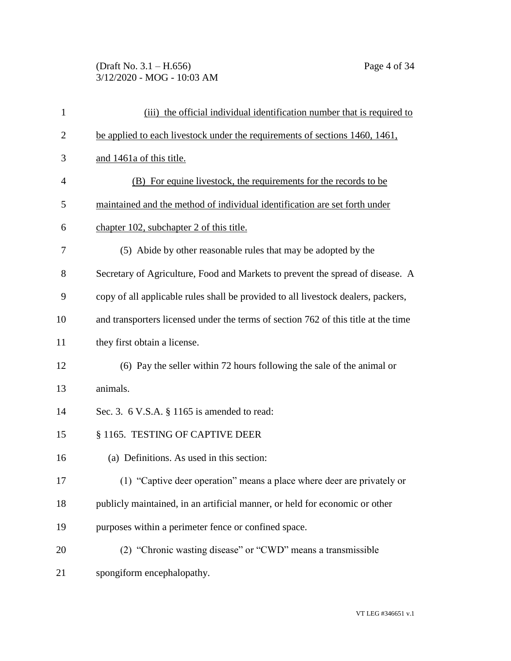# (Draft No. 3.1 – H.656) Page 4 of 34 3/12/2020 - MOG - 10:03 AM

| $\mathbf{1}$   | (iii) the official individual identification number that is required to            |
|----------------|------------------------------------------------------------------------------------|
| $\overline{2}$ | be applied to each livestock under the requirements of sections 1460, 1461,        |
| 3              | and 1461a of this title.                                                           |
| 4              | (B) For equine livestock, the requirements for the records to be                   |
| 5              | maintained and the method of individual identification are set forth under         |
| 6              | chapter 102, subchapter 2 of this title.                                           |
| 7              | (5) Abide by other reasonable rules that may be adopted by the                     |
| 8              | Secretary of Agriculture, Food and Markets to prevent the spread of disease. A     |
| 9              | copy of all applicable rules shall be provided to all livestock dealers, packers,  |
| 10             | and transporters licensed under the terms of section 762 of this title at the time |
| 11             | they first obtain a license.                                                       |
| 12             | (6) Pay the seller within 72 hours following the sale of the animal or             |
| 13             | animals.                                                                           |
| 14             | Sec. 3. 6 V.S.A. § 1165 is amended to read:                                        |
| 15             | § 1165. TESTING OF CAPTIVE DEER                                                    |
| 16             | (a) Definitions. As used in this section:                                          |
| 17             | (1) "Captive deer operation" means a place where deer are privately or             |
| 18             | publicly maintained, in an artificial manner, or held for economic or other        |
| 19             | purposes within a perimeter fence or confined space.                               |
| 20             | (2) "Chronic wasting disease" or "CWD" means a transmissible                       |
| 21             | spongiform encephalopathy.                                                         |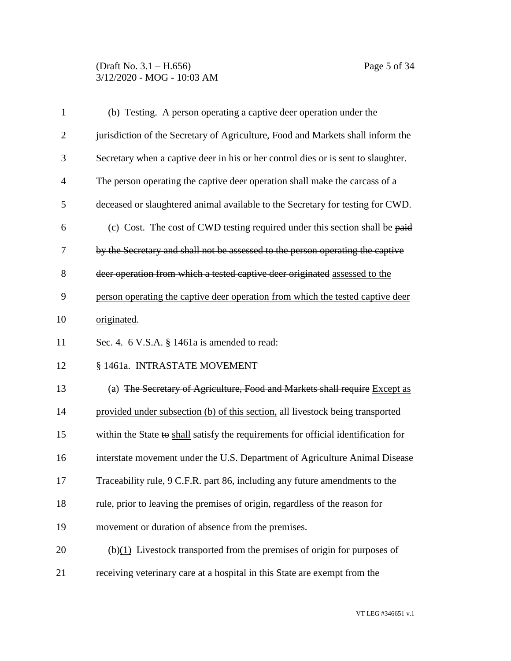### (Draft No. 3.1 – H.656) Page 5 of 34 3/12/2020 - MOG - 10:03 AM

| $\mathbf{1}$   | (b) Testing. A person operating a captive deer operation under the                 |
|----------------|------------------------------------------------------------------------------------|
| $\overline{2}$ | jurisdiction of the Secretary of Agriculture, Food and Markets shall inform the    |
| 3              | Secretary when a captive deer in his or her control dies or is sent to slaughter.  |
| $\overline{4}$ | The person operating the captive deer operation shall make the carcass of a        |
| 5              | deceased or slaughtered animal available to the Secretary for testing for CWD.     |
| 6              | (c) Cost. The cost of CWD testing required under this section shall be paid        |
| 7              | by the Secretary and shall not be assessed to the person operating the captive     |
| 8              | deer operation from which a tested captive deer originated assessed to the         |
| 9              | person operating the captive deer operation from which the tested captive deer     |
| 10             | originated.                                                                        |
| 11             | Sec. 4. 6 V.S.A. § 1461a is amended to read:                                       |
| 12             | § 1461a. INTRASTATE MOVEMENT                                                       |
| 13             | (a) The Secretary of Agriculture, Food and Markets shall require Except as         |
| 14             | provided under subsection (b) of this section, all livestock being transported     |
| 15             | within the State to shall satisfy the requirements for official identification for |
| 16             | interstate movement under the U.S. Department of Agriculture Animal Disease        |
| 17             | Traceability rule, 9 C.F.R. part 86, including any future amendments to the        |
| 18             | rule, prior to leaving the premises of origin, regardless of the reason for        |
| 19             | movement or duration of absence from the premises.                                 |
| 20             | $(b)(1)$ Livestock transported from the premises of origin for purposes of         |
| 21             | receiving veterinary care at a hospital in this State are exempt from the          |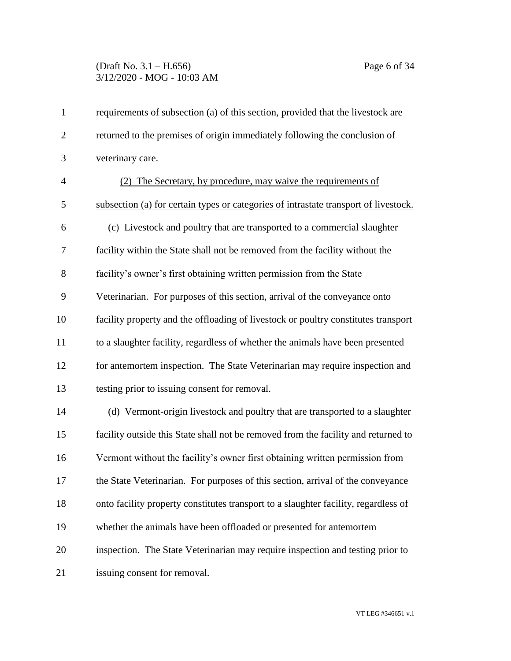# (Draft No. 3.1 – H.656) Page 6 of 34 3/12/2020 - MOG - 10:03 AM

| $\mathbf{1}$   | requirements of subsection (a) of this section, provided that the livestock are      |
|----------------|--------------------------------------------------------------------------------------|
| $\overline{2}$ | returned to the premises of origin immediately following the conclusion of           |
| 3              | veterinary care.                                                                     |
| $\overline{4}$ | (2) The Secretary, by procedure, may waive the requirements of                       |
| 5              | subsection (a) for certain types or categories of intrastate transport of livestock. |
| 6              | (c) Livestock and poultry that are transported to a commercial slaughter             |
| $\overline{7}$ | facility within the State shall not be removed from the facility without the         |
| 8              | facility's owner's first obtaining written permission from the State                 |
| 9              | Veterinarian. For purposes of this section, arrival of the conveyance onto           |
| 10             | facility property and the offloading of livestock or poultry constitutes transport   |
| 11             | to a slaughter facility, regardless of whether the animals have been presented       |
| 12             | for antemortem inspection. The State Veterinarian may require inspection and         |
| 13             | testing prior to issuing consent for removal.                                        |
| 14             | (d) Vermont-origin livestock and poultry that are transported to a slaughter         |
| 15             | facility outside this State shall not be removed from the facility and returned to   |
| 16             | Vermont without the facility's owner first obtaining written permission from         |
| 17             | the State Veterinarian. For purposes of this section, arrival of the conveyance      |
| 18             | onto facility property constitutes transport to a slaughter facility, regardless of  |
| 19             | whether the animals have been offloaded or presented for antemortem                  |
| 20             | inspection. The State Veterinarian may require inspection and testing prior to       |
| 21             | issuing consent for removal.                                                         |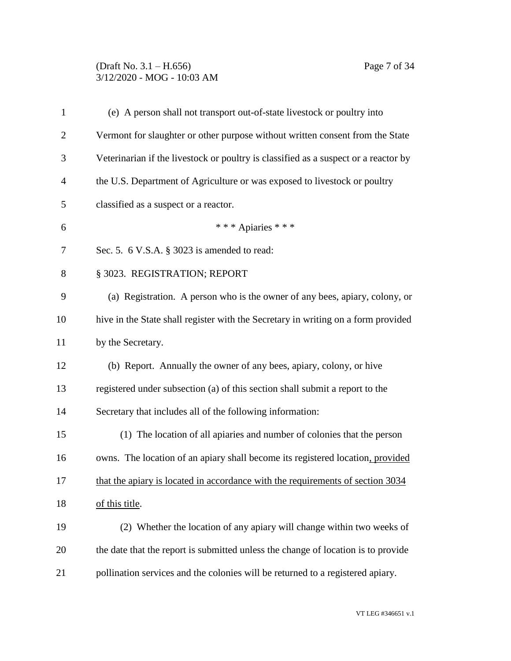### (Draft No. 3.1 – H.656) Page 7 of 34 3/12/2020 - MOG - 10:03 AM

| $\mathbf{1}$   | (e) A person shall not transport out-of-state livestock or poultry into             |
|----------------|-------------------------------------------------------------------------------------|
| $\overline{2}$ | Vermont for slaughter or other purpose without written consent from the State       |
| 3              | Veterinarian if the livestock or poultry is classified as a suspect or a reactor by |
| $\overline{4}$ | the U.S. Department of Agriculture or was exposed to livestock or poultry           |
| 5              | classified as a suspect or a reactor.                                               |
| 6              | *** Apiaries ***                                                                    |
| $\tau$         | Sec. 5. 6 V.S.A. § 3023 is amended to read:                                         |
| 8              | § 3023. REGISTRATION; REPORT                                                        |
| 9              | (a) Registration. A person who is the owner of any bees, apiary, colony, or         |
| 10             | hive in the State shall register with the Secretary in writing on a form provided   |
| 11             | by the Secretary.                                                                   |
| 12             | (b) Report. Annually the owner of any bees, apiary, colony, or hive                 |
| 13             | registered under subsection (a) of this section shall submit a report to the        |
| 14             | Secretary that includes all of the following information:                           |
| 15             | (1) The location of all apiaries and number of colonies that the person             |
| 16             | owns. The location of an apiary shall become its registered location, provided      |
| 17             | that the apiary is located in accordance with the requirements of section 3034      |
| 18             | of this title.                                                                      |
| 19             | (2) Whether the location of any apiary will change within two weeks of              |
| 20             | the date that the report is submitted unless the change of location is to provide   |
| 21             | pollination services and the colonies will be returned to a registered apiary.      |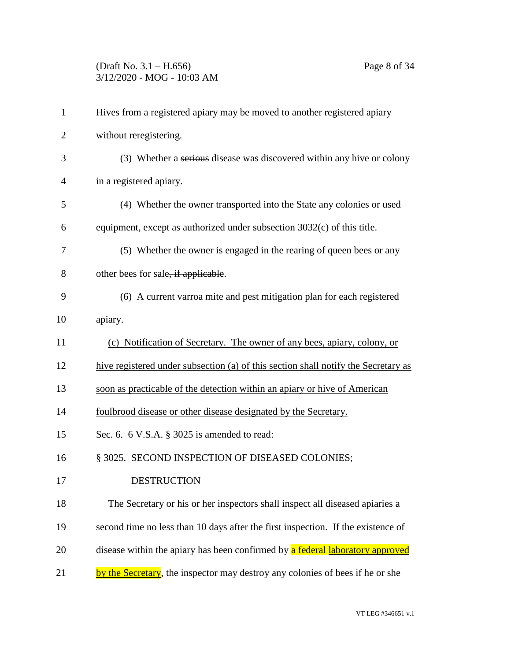# (Draft No. 3.1 – H.656) Page 8 of 34 3/12/2020 - MOG - 10:03 AM

| $\mathbf{1}$   | Hives from a registered apiary may be moved to another registered apiary           |
|----------------|------------------------------------------------------------------------------------|
| $\overline{2}$ | without reregistering.                                                             |
| 3              | (3) Whether a serious disease was discovered within any hive or colony             |
| $\overline{4}$ | in a registered apiary.                                                            |
| 5              | (4) Whether the owner transported into the State any colonies or used              |
| 6              | equipment, except as authorized under subsection 3032(c) of this title.            |
| 7              | (5) Whether the owner is engaged in the rearing of queen bees or any               |
| 8              | other bees for sale, if applicable.                                                |
| 9              | (6) A current varroa mite and pest mitigation plan for each registered             |
| 10             | apiary.                                                                            |
| 11             | (c) Notification of Secretary. The owner of any bees, apiary, colony, or           |
| 12             | hive registered under subsection (a) of this section shall notify the Secretary as |
| 13             | soon as practicable of the detection within an apiary or hive of American          |
| 14             | foulbrood disease or other disease designated by the Secretary.                    |
| 15             | Sec. 6. 6 V.S.A. § 3025 is amended to read:                                        |
| 16             | § 3025. SECOND INSPECTION OF DISEASED COLONIES;                                    |
| 17             | <b>DESTRUCTION</b>                                                                 |
| 18             | The Secretary or his or her inspectors shall inspect all diseased apiaries a       |
| 19             | second time no less than 10 days after the first inspection. If the existence of   |
| 20             | disease within the apiary has been confirmed by a federal laboratory approved      |
| 21             | by the Secretary, the inspector may destroy any colonies of bees if he or she      |
|                |                                                                                    |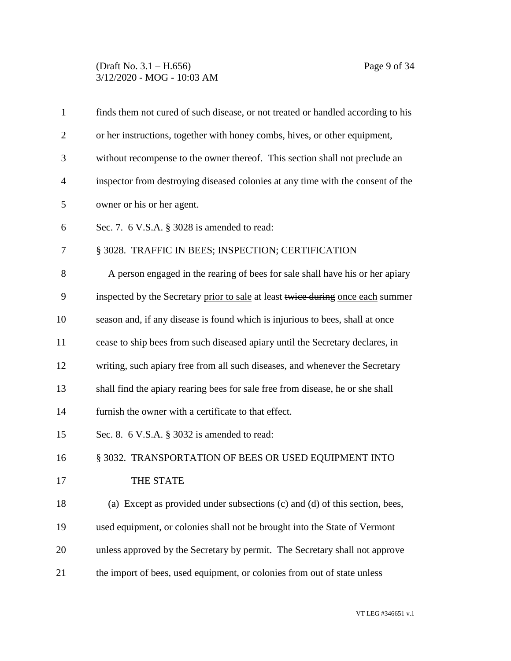#### (Draft No. 3.1 – H.656) Page 9 of 34 3/12/2020 - MOG - 10:03 AM

| $\mathbf{1}$   | finds them not cured of such disease, or not treated or handled according to his |
|----------------|----------------------------------------------------------------------------------|
| $\overline{2}$ | or her instructions, together with honey combs, hives, or other equipment,       |
| 3              | without recompense to the owner thereof. This section shall not preclude an      |
| 4              | inspector from destroying diseased colonies at any time with the consent of the  |
| 5              | owner or his or her agent.                                                       |
| 6              | Sec. 7. $6$ V.S.A. $\S$ 3028 is amended to read:                                 |
| 7              | § 3028. TRAFFIC IN BEES; INSPECTION; CERTIFICATION                               |
| 8              | A person engaged in the rearing of bees for sale shall have his or her apiary    |
| 9              | inspected by the Secretary prior to sale at least twice during once each summer  |
| 10             | season and, if any disease is found which is injurious to bees, shall at once    |
| 11             | cease to ship bees from such diseased apiary until the Secretary declares, in    |
| 12             | writing, such apiary free from all such diseases, and whenever the Secretary     |
| 13             | shall find the apiary rearing bees for sale free from disease, he or she shall   |
| 14             | furnish the owner with a certificate to that effect.                             |
| 15             | Sec. 8. 6 V.S.A. § 3032 is amended to read:                                      |
| 16             | § 3032. TRANSPORTATION OF BEES OR USED EQUIPMENT INTO                            |
| 17             | THE STATE                                                                        |
| 18             | (a) Except as provided under subsections (c) and (d) of this section, bees,      |
| 19             | used equipment, or colonies shall not be brought into the State of Vermont       |
| 20             | unless approved by the Secretary by permit. The Secretary shall not approve      |
| 21             | the import of bees, used equipment, or colonies from out of state unless         |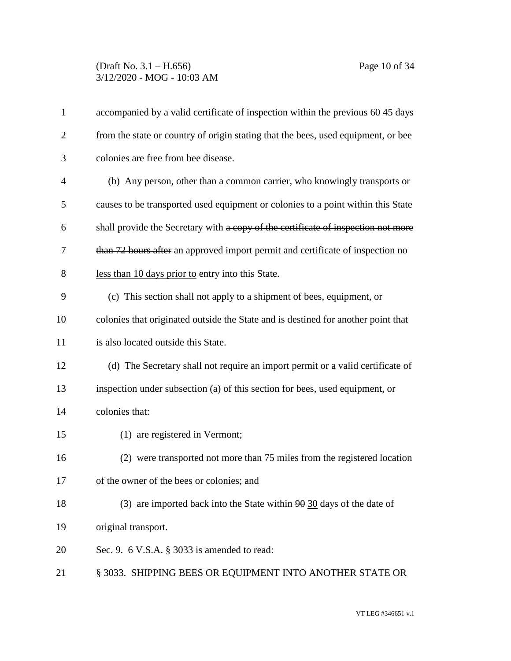### (Draft No. 3.1 – H.656) Page 10 of 34 3/12/2020 - MOG - 10:03 AM

| $\mathbf{1}$   | accompanied by a valid certificate of inspection within the previous $60\frac{45}{12}$ days |
|----------------|---------------------------------------------------------------------------------------------|
| $\overline{2}$ | from the state or country of origin stating that the bees, used equipment, or bee           |
| 3              | colonies are free from bee disease.                                                         |
| $\overline{4}$ | (b) Any person, other than a common carrier, who knowingly transports or                    |
| 5              | causes to be transported used equipment or colonies to a point within this State            |
| 6              | shall provide the Secretary with a copy of the certificate of inspection not more           |
| 7              | than 72 hours after an approved import permit and certificate of inspection no              |
| 8              | less than 10 days prior to entry into this State.                                           |
| 9              | (c) This section shall not apply to a shipment of bees, equipment, or                       |
| 10             | colonies that originated outside the State and is destined for another point that           |
| 11             | is also located outside this State.                                                         |
| 12             | (d) The Secretary shall not require an import permit or a valid certificate of              |
| 13             | inspection under subsection (a) of this section for bees, used equipment, or                |
| 14             | colonies that:                                                                              |
| 15             | (1) are registered in Vermont;                                                              |
| 16             | (2) were transported not more than 75 miles from the registered location                    |
| 17             | of the owner of the bees or colonies; and                                                   |
| 18             | (3) are imported back into the State within $90$ 30 days of the date of                     |
| 19             | original transport.                                                                         |
| 20             | Sec. 9. $6$ V.S.A. $\S$ 3033 is amended to read:                                            |
| 21             | § 3033. SHIPPING BEES OR EQUIPMENT INTO ANOTHER STATE OR                                    |
|                |                                                                                             |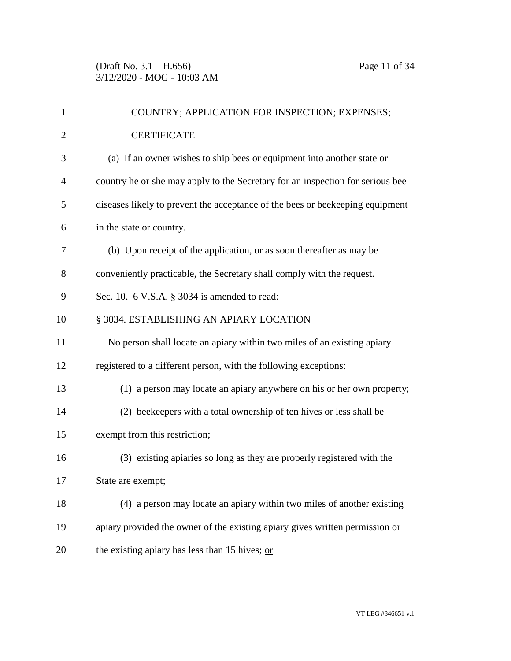| $\mathbf{1}$   | COUNTRY; APPLICATION FOR INSPECTION; EXPENSES;                                 |
|----------------|--------------------------------------------------------------------------------|
| $\overline{2}$ | <b>CERTIFICATE</b>                                                             |
| 3              | (a) If an owner wishes to ship bees or equipment into another state or         |
| 4              | country he or she may apply to the Secretary for an inspection for serious bee |
| 5              | diseases likely to prevent the acceptance of the bees or beekeeping equipment  |
| 6              | in the state or country.                                                       |
| 7              | (b) Upon receipt of the application, or as soon thereafter as may be           |
| 8              | conveniently practicable, the Secretary shall comply with the request.         |
| 9              | Sec. 10. $6$ V.S.A. $\S$ 3034 is amended to read:                              |
| 10             | § 3034. ESTABLISHING AN APIARY LOCATION                                        |
| 11             | No person shall locate an apiary within two miles of an existing apiary        |
| 12             | registered to a different person, with the following exceptions:               |
| 13             | (1) a person may locate an apiary anywhere on his or her own property;         |
| 14             | (2) beekeepers with a total ownership of ten hives or less shall be            |
| 15             | exempt from this restriction;                                                  |
| 16             | (3) existing apiaries so long as they are properly registered with the         |
| 17             | State are exempt;                                                              |
| 18             | (4) a person may locate an apiary within two miles of another existing         |
| 19             | apiary provided the owner of the existing apiary gives written permission or   |
| 20             | the existing apiary has less than 15 hives; or                                 |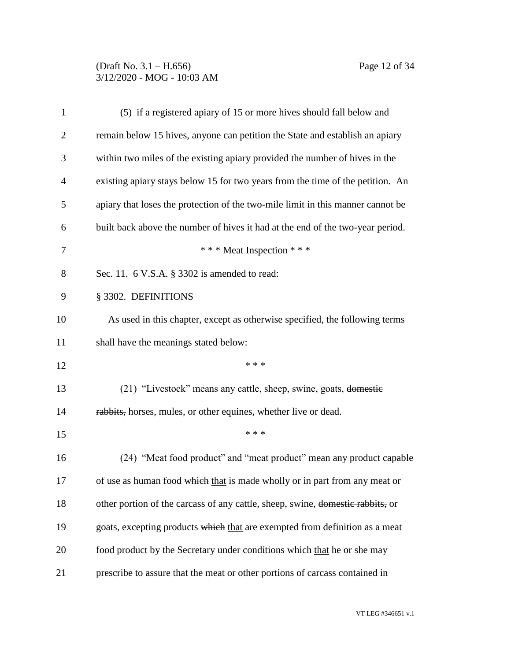# (Draft No. 3.1 – H.656) Page 12 of 34 3/12/2020 - MOG - 10:03 AM

| $\mathbf{1}$   | (5) if a registered apiary of 15 or more hives should fall below and            |
|----------------|---------------------------------------------------------------------------------|
| $\overline{2}$ | remain below 15 hives, anyone can petition the State and establish an apiary    |
| 3              | within two miles of the existing apiary provided the number of hives in the     |
| 4              | existing apiary stays below 15 for two years from the time of the petition. An  |
| 5              | apiary that loses the protection of the two-mile limit in this manner cannot be |
| 6              | built back above the number of hives it had at the end of the two-year period.  |
| 7              | *** Meat Inspection ***                                                         |
| 8              | Sec. 11. 6 V.S.A. § 3302 is amended to read:                                    |
| 9              | § 3302. DEFINITIONS                                                             |
| 10             | As used in this chapter, except as otherwise specified, the following terms     |
| 11             | shall have the meanings stated below:                                           |
| 12             | * * *                                                                           |
| 13             | (21) "Livestock" means any cattle, sheep, swine, goats, domestic                |
| 14             | rabbits, horses, mules, or other equines, whether live or dead.                 |
| 15             | * * *                                                                           |
| 16             | (24) "Meat food product" and "meat product" mean any product capable            |
| 17             | of use as human food which that is made wholly or in part from any meat or      |
| 18             | other portion of the carcass of any cattle, sheep, swine, domestic rabbits, or  |
| 19             | goats, excepting products which that are exempted from definition as a meat     |
| 20             | food product by the Secretary under conditions which that he or she may         |
| 21             | prescribe to assure that the meat or other portions of carcass contained in     |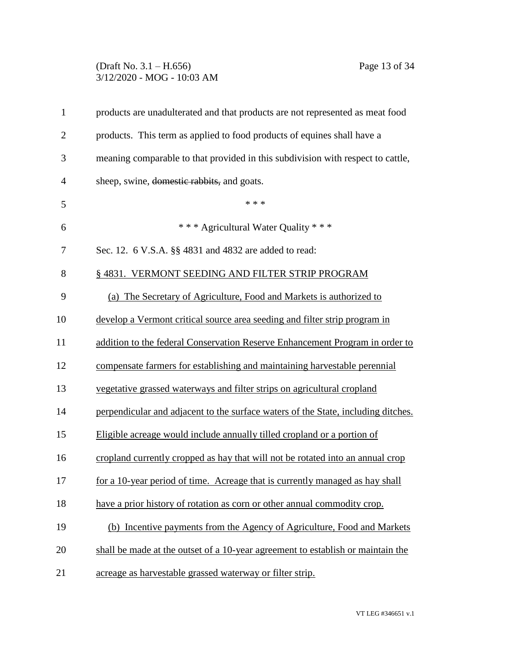## (Draft No. 3.1 – H.656) Page 13 of 34 3/12/2020 - MOG - 10:03 AM

| $\mathbf{1}$   | products are unadulterated and that products are not represented as meat food     |
|----------------|-----------------------------------------------------------------------------------|
| $\overline{2}$ | products. This term as applied to food products of equines shall have a           |
| 3              | meaning comparable to that provided in this subdivision with respect to cattle,   |
| $\overline{4}$ | sheep, swine, domestic rabbits, and goats.                                        |
| 5              | * * *                                                                             |
| 6              | *** Agricultural Water Quality ***                                                |
| 7              | Sec. 12. 6 V.S.A. §§ 4831 and 4832 are added to read:                             |
| 8              | § 4831. VERMONT SEEDING AND FILTER STRIP PROGRAM                                  |
| 9              | (a) The Secretary of Agriculture, Food and Markets is authorized to               |
| 10             | develop a Vermont critical source area seeding and filter strip program in        |
| 11             | addition to the federal Conservation Reserve Enhancement Program in order to      |
| 12             | compensate farmers for establishing and maintaining harvestable perennial         |
| 13             | vegetative grassed waterways and filter strips on agricultural cropland           |
| 14             | perpendicular and adjacent to the surface waters of the State, including ditches. |
| 15             | Eligible acreage would include annually tilled cropland or a portion of           |
| 16             | cropland currently cropped as hay that will not be rotated into an annual crop    |
| 17             | for a 10-year period of time. Acreage that is currently managed as hay shall      |
| 18             | have a prior history of rotation as corn or other annual commodity crop.          |
| 19             | (b) Incentive payments from the Agency of Agriculture, Food and Markets           |
| 20             | shall be made at the outset of a 10-year agreement to establish or maintain the   |
| 21             | acreage as harvestable grassed waterway or filter strip.                          |
|                |                                                                                   |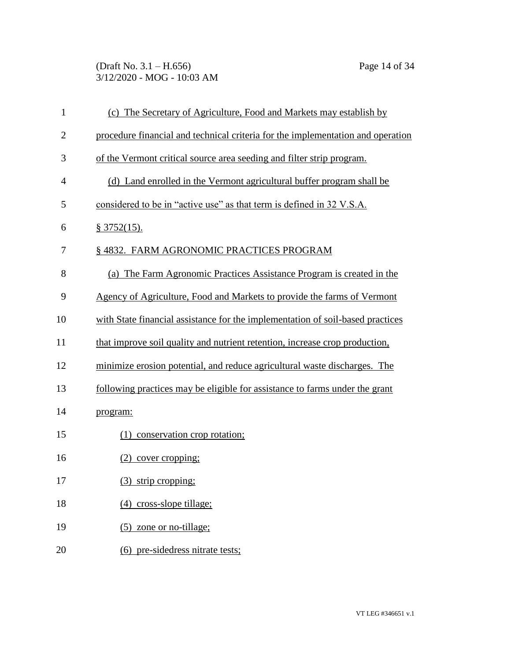(Draft No. 3.1 – H.656) Page 14 of 34 3/12/2020 - MOG - 10:03 AM

| $\mathbf{1}$   | (c) The Secretary of Agriculture, Food and Markets may establish by             |
|----------------|---------------------------------------------------------------------------------|
| $\overline{2}$ | procedure financial and technical criteria for the implementation and operation |
| 3              | of the Vermont critical source area seeding and filter strip program.           |
| 4              | (d) Land enrolled in the Vermont agricultural buffer program shall be           |
| 5              | considered to be in "active use" as that term is defined in 32 V.S.A.           |
| 6              | § 3752(15).                                                                     |
| 7              | § 4832. FARM AGRONOMIC PRACTICES PROGRAM                                        |
| 8              | (a) The Farm Agronomic Practices Assistance Program is created in the           |
| 9              | Agency of Agriculture, Food and Markets to provide the farms of Vermont         |
| 10             | with State financial assistance for the implementation of soil-based practices  |
| 11             | that improve soil quality and nutrient retention, increase crop production,     |
| 12             | minimize erosion potential, and reduce agricultural waste discharges. The       |
| 13             | following practices may be eligible for assistance to farms under the grant     |
| 14             | program:                                                                        |
| 15             | (1) conservation crop rotation;                                                 |
| 16             | $(2)$ cover cropping;                                                           |
| 17             | (3) strip cropping;                                                             |
| 18             | $(4)$ cross-slope tillage;                                                      |
| 19             | $(5)$ zone or no-tillage;                                                       |
| 20             | (6) pre-sidedress nitrate tests;                                                |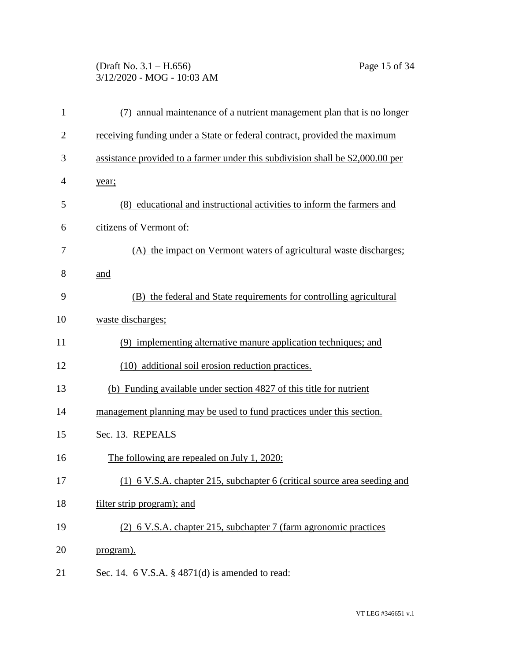# (Draft No. 3.1 – H.656) Page 15 of 34 3/12/2020 - MOG - 10:03 AM

| $\mathbf{1}$   | (7) annual maintenance of a nutrient management plan that is no longer         |
|----------------|--------------------------------------------------------------------------------|
| $\overline{2}$ | receiving funding under a State or federal contract, provided the maximum      |
| 3              | assistance provided to a farmer under this subdivision shall be \$2,000.00 per |
| 4              | year;                                                                          |
| 5              | (8) educational and instructional activities to inform the farmers and         |
| 6              | citizens of Vermont of:                                                        |
| 7              | (A) the impact on Vermont waters of agricultural waste discharges;             |
| 8              | and                                                                            |
| 9              | (B) the federal and State requirements for controlling agricultural            |
| 10             | waste discharges;                                                              |
| 11             | (9) implementing alternative manure application techniques; and                |
| 12             | (10) additional soil erosion reduction practices.                              |
| 13             | (b) Funding available under section 4827 of this title for nutrient            |
| 14             | management planning may be used to fund practices under this section.          |
| 15             | Sec. 13. REPEALS                                                               |
| 16             | <u>The following are repealed on July 1, 2020:</u>                             |
| 17             | (1) 6 V.S.A. chapter 215, subchapter 6 (critical source area seeding and       |
| 18             | filter strip program); and                                                     |
| 19             | (2) 6 V.S.A. chapter 215, subchapter 7 (farm agronomic practices               |
| 20             | program).                                                                      |
| 21             | Sec. 14. $6$ V.S.A. $\S$ 4871(d) is amended to read:                           |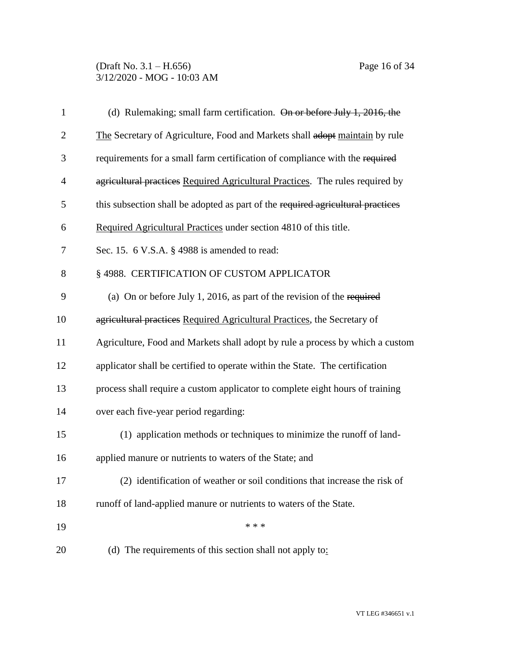| $\mathbf{1}$   | (d) Rulemaking; small farm certification. On or before July 1, 2016, the        |
|----------------|---------------------------------------------------------------------------------|
| $\overline{2}$ | The Secretary of Agriculture, Food and Markets shall adopt maintain by rule     |
| 3              | requirements for a small farm certification of compliance with the required     |
| $\overline{4}$ | agricultural practices Required Agricultural Practices. The rules required by   |
| 5              | this subsection shall be adopted as part of the required agricultural practices |
| 6              | Required Agricultural Practices under section 4810 of this title.               |
| 7              | Sec. 15. 6 V.S.A. § 4988 is amended to read:                                    |
| 8              | § 4988. CERTIFICATION OF CUSTOM APPLICATOR                                      |
| 9              | (a) On or before July 1, 2016, as part of the revision of the required          |
| 10             | agricultural practices Required Agricultural Practices, the Secretary of        |
| 11             | Agriculture, Food and Markets shall adopt by rule a process by which a custom   |
| 12             | applicator shall be certified to operate within the State. The certification    |
| 13             | process shall require a custom applicator to complete eight hours of training   |
| 14             | over each five-year period regarding:                                           |
| 15             | (1) application methods or techniques to minimize the runoff of land-           |
| 16             | applied manure or nutrients to waters of the State; and                         |
| 17             | (2) identification of weather or soil conditions that increase the risk of      |
| 18             | runoff of land-applied manure or nutrients to waters of the State.              |
| 19             | * * *                                                                           |
| 20             | (d) The requirements of this section shall not apply to:                        |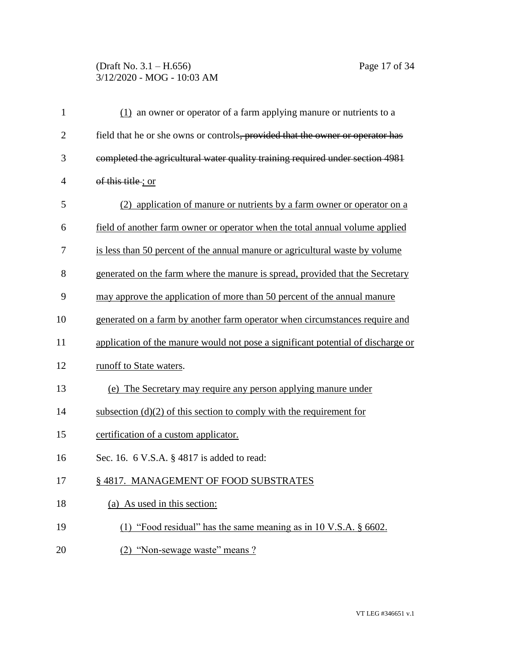## (Draft No. 3.1 – H.656) Page 17 of 34 3/12/2020 - MOG - 10:03 AM

| $\mathbf{1}$   | $(1)$ an owner or operator of a farm applying manure or nutrients to a           |
|----------------|----------------------------------------------------------------------------------|
| $\overline{2}$ | field that he or she owns or controls, provided that the owner or operator has   |
| 3              | completed the agricultural water quality training required under section 4981    |
| $\overline{4}$ | of this title; or                                                                |
| 5              | (2) application of manure or nutrients by a farm owner or operator on a          |
| 6              | field of another farm owner or operator when the total annual volume applied     |
| 7              | is less than 50 percent of the annual manure or agricultural waste by volume     |
| 8              | generated on the farm where the manure is spread, provided that the Secretary    |
| 9              | may approve the application of more than 50 percent of the annual manure         |
| 10             | generated on a farm by another farm operator when circumstances require and      |
| 11             | application of the manure would not pose a significant potential of discharge or |
| 12             | runoff to State waters.                                                          |
| 13             | (e) The Secretary may require any person applying manure under                   |
| 14             | subsection $(d)(2)$ of this section to comply with the requirement for           |
| 15             | certification of a custom applicator.                                            |
| 16             | Sec. 16. 6 V.S.A. § 4817 is added to read:                                       |
| 17             | §4817. MANAGEMENT OF FOOD SUBSTRATES                                             |
| 18             | (a) As used in this section:                                                     |
| 19             | (1) "Food residual" has the same meaning as in 10 V.S.A. $\S$ 6602.              |
| 20             | "Non-sewage waste" means ?<br>(2)                                                |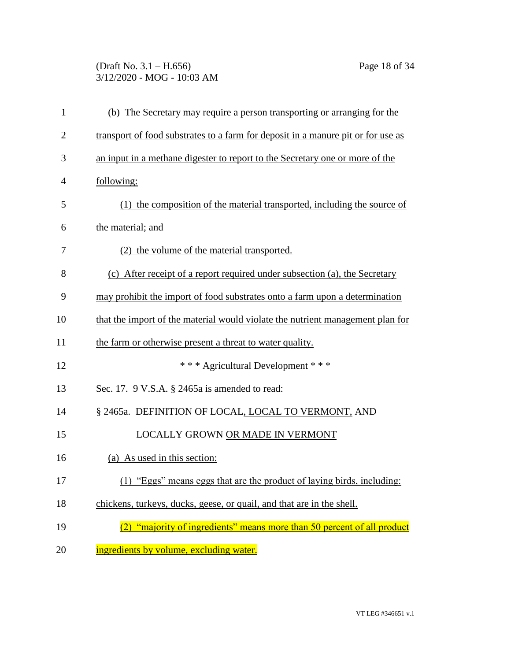(Draft No. 3.1 – H.656) Page 18 of 34 3/12/2020 - MOG - 10:03 AM

| $\mathbf{1}$   | (b) The Secretary may require a person transporting or arranging for the         |
|----------------|----------------------------------------------------------------------------------|
| $\overline{2}$ | transport of food substrates to a farm for deposit in a manure pit or for use as |
| 3              | an input in a methane digester to report to the Secretary one or more of the     |
| $\overline{4}$ | following:                                                                       |
| 5              | (1) the composition of the material transported, including the source of         |
| 6              | the material; and                                                                |
| 7              | (2) the volume of the material transported.                                      |
| 8              | (c) After receipt of a report required under subsection (a), the Secretary       |
| 9              | may prohibit the import of food substrates onto a farm upon a determination      |
| 10             | that the import of the material would violate the nutrient management plan for   |
| 11             | the farm or otherwise present a threat to water quality.                         |
| 12             | *** Agricultural Development ***                                                 |
| 13             | Sec. 17. 9 V.S.A. § 2465a is amended to read:                                    |
| 14             | § 2465a. DEFINITION OF LOCAL, LOCAL TO VERMONT, AND                              |
| 15             | LOCALLY GROWN OR MADE IN VERMONT                                                 |
| 16             | (a) As used in this section:                                                     |
| 17             | (1) "Eggs" means eggs that are the product of laying birds, including:           |
| 18             | chickens, turkeys, ducks, geese, or quail, and that are in the shell.            |
| 19             | "majority of ingredients" means more than 50 percent of all product              |
| 20             | ingredients by volume, excluding water.                                          |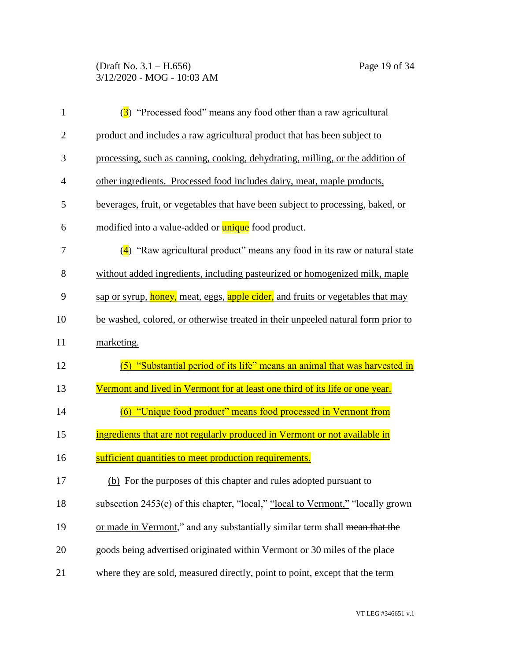(Draft No. 3.1 – H.656) Page 19 of 34 3/12/2020 - MOG - 10:03 AM

| $\mathbf{1}$   | (3) "Processed food" means any food other than a raw agricultural                   |
|----------------|-------------------------------------------------------------------------------------|
| $\overline{2}$ | product and includes a raw agricultural product that has been subject to            |
| 3              | processing, such as canning, cooking, dehydrating, milling, or the addition of      |
| $\overline{4}$ | other ingredients. Processed food includes dairy, meat, maple products,             |
| 5              | beverages, fruit, or vegetables that have been subject to processing, baked, or     |
| 6              | modified into a value-added or unique food product.                                 |
| 7              | $\frac{4}{9}$ "Raw agricultural product" means any food in its raw or natural state |
| 8              | without added ingredients, including pasteurized or homogenized milk, maple         |
| 9              | sap or syrup, honey, meat, eggs, apple cider, and fruits or vegetables that may     |
| 10             | be washed, colored, or otherwise treated in their unpeeled natural form prior to    |
|                |                                                                                     |
| 11             | marketing.                                                                          |
| 12             | "Substantial period of its life" means an animal that was harvested in<br>(5)       |
| 13             | Vermont and lived in Vermont for at least one third of its life or one year.        |
| 14             | (6) "Unique food product" means food processed in Vermont from                      |
| 15             | ingredients that are not regularly produced in Vermont or not available in          |
| 16             | sufficient quantities to meet production requirements.                              |
| 17             | (b) For the purposes of this chapter and rules adopted pursuant to                  |
| 18             | subsection 2453(c) of this chapter, "local," "local to Vermont," "locally grown     |
| 19             | or made in Vermont," and any substantially similar term shall mean that the         |
| 20             | goods being advertised originated within Vermont or 30 miles of the place           |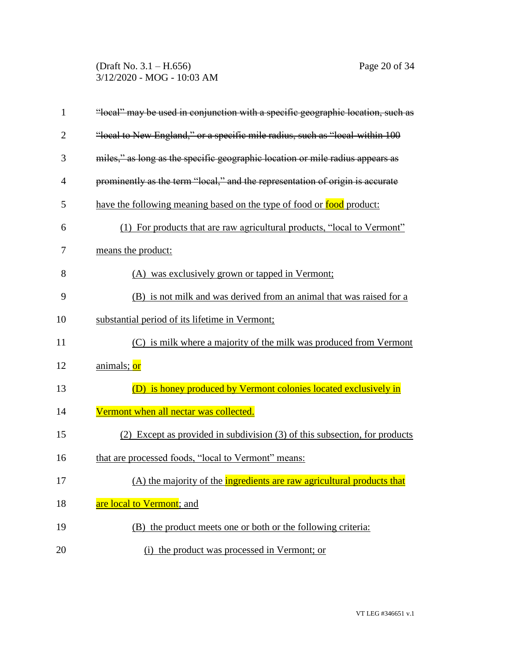(Draft No. 3.1 – H.656) Page 20 of 34 3/12/2020 - MOG - 10:03 AM

| $\mathbf{1}$   | "local" may be used in conjunction with a specific geographic location, such as |
|----------------|---------------------------------------------------------------------------------|
| $\overline{2}$ | "local to New England," or a specific mile radius, such as "local-within 100    |
| 3              | miles," as long as the specific geographic location or mile radius appears as   |
| $\overline{4}$ | prominently as the term "local," and the representation of origin is accurate   |
| 5              | have the following meaning based on the type of food or food product:           |
| 6              | (1) For products that are raw agricultural products, "local to Vermont"         |
| 7              | means the product:                                                              |
| 8              | (A) was exclusively grown or tapped in Vermont;                                 |
| 9              | (B) is not milk and was derived from an animal that was raised for a            |
| 10             | substantial period of its lifetime in Vermont;                                  |
| 11             | (C) is milk where a majority of the milk was produced from Vermont              |
| 12             | animals; or                                                                     |
| 13             | (D) is honey produced by Vermont colonies located exclusively in                |
| 14             | Vermont when all nectar was collected.                                          |
| 15             | (2) Except as provided in subdivision (3) of this subsection, for products      |
| 16             | that are processed foods, "local to Vermont" means:                             |
| 17             | (A) the majority of the ingredients are raw agricultural products that          |
| 18             | are local to Vermont; and                                                       |
| 19             | (B) the product meets one or both or the following criteria:                    |
| 20             | (i) the product was processed in Vermont; or                                    |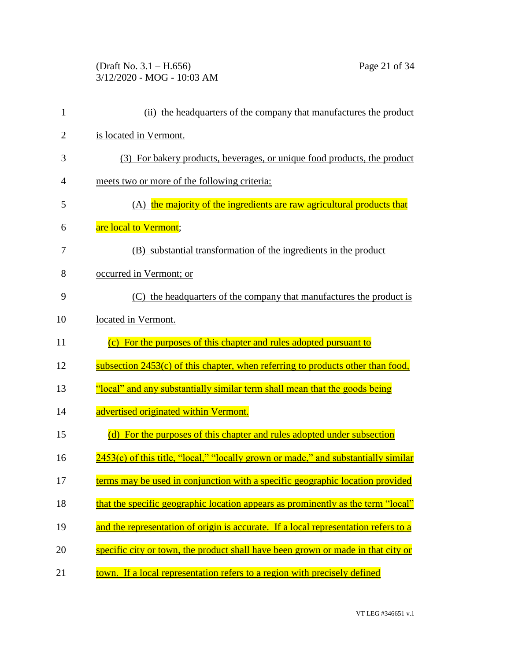# (Draft No. 3.1 – H.656) Page 21 of 34 3/12/2020 - MOG - 10:03 AM

| $\mathbf{1}$   | (ii) the headquarters of the company that manufactures the product                  |
|----------------|-------------------------------------------------------------------------------------|
| $\overline{2}$ | is located in Vermont.                                                              |
| 3              | (3) For bakery products, beverages, or unique food products, the product            |
| $\overline{4}$ | meets two or more of the following criteria:                                        |
| 5              | (A) the majority of the ingredients are raw agricultural products that              |
| 6              | are local to Vermont;                                                               |
| 7              | (B) substantial transformation of the ingredients in the product                    |
| 8              | occurred in Vermont; or                                                             |
| 9              | (C) the headquarters of the company that manufactures the product is                |
| 10             | located in Vermont.                                                                 |
| 11             | (c) For the purposes of this chapter and rules adopted pursuant to                  |
| 12             | subsection 2453(c) of this chapter, when referring to products other than food,     |
| 13             | "local" and any substantially similar term shall mean that the goods being          |
| 14             | advertised originated within Vermont.                                               |
| 15             | (d) For the purposes of this chapter and rules adopted under subsection             |
| 16             | 2453(c) of this title, "local," "locally grown or made," and substantially similar  |
| 17             | terms may be used in conjunction with a specific geographic location provided       |
| 18             | that the specific geographic location appears as prominently as the term "local"    |
| 19             | and the representation of origin is accurate. If a local representation refers to a |
| 20             | specific city or town, the product shall have been grown or made in that city or    |
| 21             | town. If a local representation refers to a region with precisely defined           |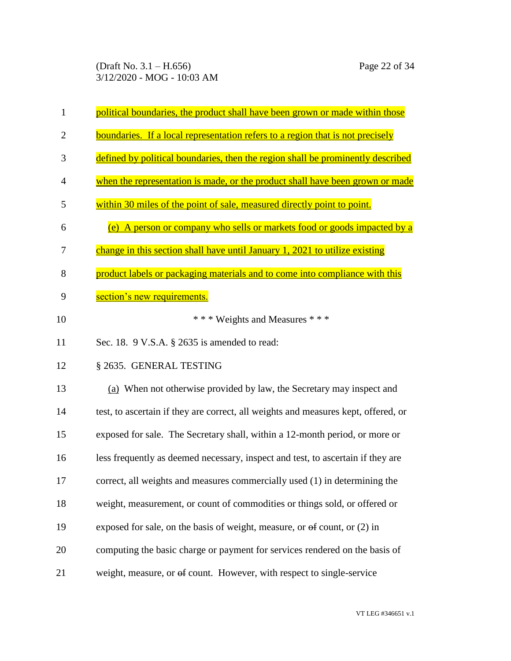| 1              | political boundaries, the product shall have been grown or made within those       |
|----------------|------------------------------------------------------------------------------------|
| $\overline{2}$ | boundaries. If a local representation refers to a region that is not precisely     |
| 3              | defined by political boundaries, then the region shall be prominently described    |
| 4              | when the representation is made, or the product shall have been grown or made      |
| 5              | within 30 miles of the point of sale, measured directly point to point.            |
| 6              | (e) A person or company who sells or markets food or goods impacted by a           |
| 7              | change in this section shall have until January 1, 2021 to utilize existing        |
| 8              | product labels or packaging materials and to come into compliance with this        |
| 9              | section's new requirements.                                                        |
| 10             | *** Weights and Measures ***                                                       |
| 11             | Sec. 18. 9 V.S.A. § 2635 is amended to read:                                       |
| 12             | § 2635. GENERAL TESTING                                                            |
| 13             | (a) When not otherwise provided by law, the Secretary may inspect and              |
| 14             | test, to ascertain if they are correct, all weights and measures kept, offered, or |
| 15             | exposed for sale. The Secretary shall, within a 12-month period, or more or        |
| 16             | less frequently as deemed necessary, inspect and test, to ascertain if they are    |
| 17             | correct, all weights and measures commercially used (1) in determining the         |
| 18             | weight, measurement, or count of commodities or things sold, or offered or         |
| 19             | exposed for sale, on the basis of weight, measure, or $\Theta$ count, or (2) in    |
| 20             | computing the basic charge or payment for services rendered on the basis of        |
| 21             | weight, measure, or of count. However, with respect to single-service              |

VT LEG #346651 v.1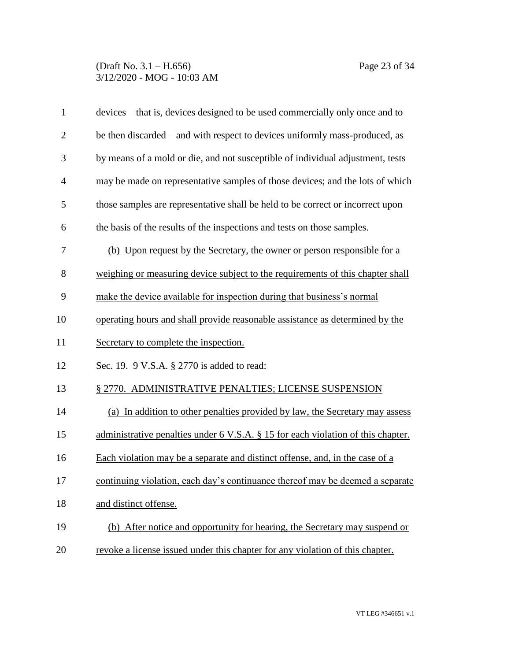### (Draft No. 3.1 – H.656) Page 23 of 34 3/12/2020 - MOG - 10:03 AM

| $\mathbf{1}$   | devices—that is, devices designed to be used commercially only once and to       |
|----------------|----------------------------------------------------------------------------------|
| $\overline{2}$ | be then discarded—and with respect to devices uniformly mass-produced, as        |
| 3              | by means of a mold or die, and not susceptible of individual adjustment, tests   |
| $\overline{4}$ | may be made on representative samples of those devices; and the lots of which    |
| 5              | those samples are representative shall be held to be correct or incorrect upon   |
| 6              | the basis of the results of the inspections and tests on those samples.          |
| 7              | (b) Upon request by the Secretary, the owner or person responsible for a         |
| 8              | weighing or measuring device subject to the requirements of this chapter shall   |
| 9              | make the device available for inspection during that business's normal           |
| 10             | operating hours and shall provide reasonable assistance as determined by the     |
| 11             | Secretary to complete the inspection.                                            |
| 12             | Sec. 19. 9 V.S.A. § 2770 is added to read:                                       |
| 13             | § 2770. ADMINISTRATIVE PENALTIES; LICENSE SUSPENSION                             |
| 14             | (a) In addition to other penalties provided by law, the Secretary may assess     |
| 15             | administrative penalties under 6 V.S.A. § 15 for each violation of this chapter. |
| 16             | Each violation may be a separate and distinct offense, and, in the case of a     |
| 17             | continuing violation, each day's continuance thereof may be deemed a separate    |
| 18             | and distinct offense.                                                            |
| 19             | (b) After notice and opportunity for hearing, the Secretary may suspend or       |
| 20             | revoke a license issued under this chapter for any violation of this chapter.    |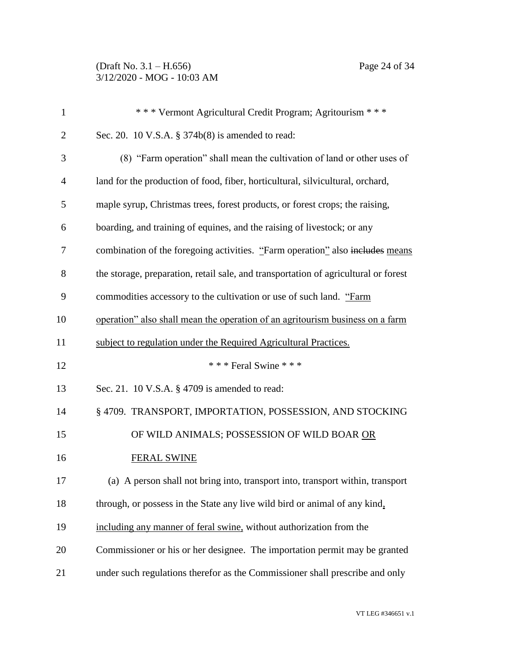(Draft No. 3.1 – H.656) Page 24 of 34 3/12/2020 - MOG - 10:03 AM

| $\mathbf{1}$   | *** Vermont Agricultural Credit Program; Agritourism ***                            |
|----------------|-------------------------------------------------------------------------------------|
| $\overline{2}$ | Sec. 20. 10 V.S.A. § 374b(8) is amended to read:                                    |
| 3              | (8) "Farm operation" shall mean the cultivation of land or other uses of            |
| $\overline{4}$ | land for the production of food, fiber, horticultural, silvicultural, orchard,      |
| 5              | maple syrup, Christmas trees, forest products, or forest crops; the raising,        |
| 6              | boarding, and training of equines, and the raising of livestock; or any             |
| 7              | combination of the foregoing activities. "Farm operation" also includes means       |
| 8              | the storage, preparation, retail sale, and transportation of agricultural or forest |
| 9              | commodities accessory to the cultivation or use of such land. "Farm                 |
| 10             | operation" also shall mean the operation of an agritourism business on a farm       |
| 11             | subject to regulation under the Required Agricultural Practices.                    |
| 12             | *** Feral Swine ***                                                                 |
| 13             | Sec. 21. 10 V.S.A. § 4709 is amended to read:                                       |
| 14             | § 4709. TRANSPORT, IMPORTATION, POSSESSION, AND STOCKING                            |
| 15             | OF WILD ANIMALS; POSSESSION OF WILD BOAR OR                                         |
| 16             | <b>FERAL SWINE</b>                                                                  |
| 17             | (a) A person shall not bring into, transport into, transport within, transport      |
| 18             | through, or possess in the State any live wild bird or animal of any kind,          |
| 19             | including any manner of feral swine, without authorization from the                 |
| 20             | Commissioner or his or her designee. The importation permit may be granted          |
| 21             | under such regulations therefor as the Commissioner shall prescribe and only        |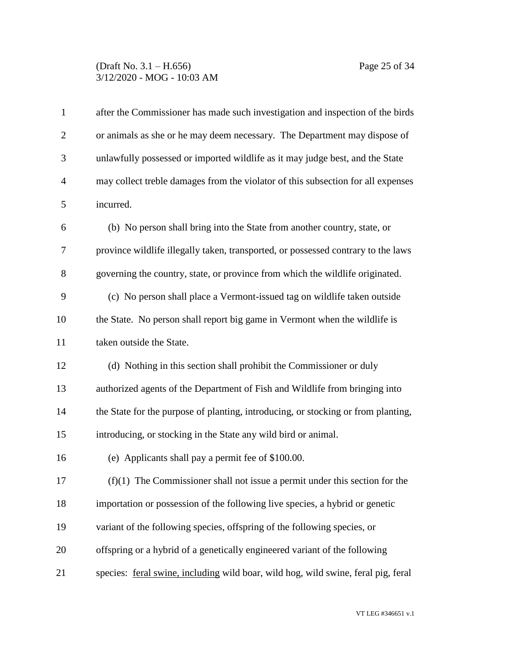### (Draft No. 3.1 – H.656) Page 25 of 34 3/12/2020 - MOG - 10:03 AM

| $\mathbf{1}$   | after the Commissioner has made such investigation and inspection of the birds    |
|----------------|-----------------------------------------------------------------------------------|
| $\overline{2}$ | or animals as she or he may deem necessary. The Department may dispose of         |
| 3              | unlawfully possessed or imported wildlife as it may judge best, and the State     |
| 4              | may collect treble damages from the violator of this subsection for all expenses  |
| 5              | incurred.                                                                         |
| 6              | (b) No person shall bring into the State from another country, state, or          |
| 7              | province wildlife illegally taken, transported, or possessed contrary to the laws |
| 8              | governing the country, state, or province from which the wildlife originated.     |
| 9              | (c) No person shall place a Vermont-issued tag on wildlife taken outside          |
| 10             | the State. No person shall report big game in Vermont when the wildlife is        |
| 11             | taken outside the State.                                                          |
| 12             | (d) Nothing in this section shall prohibit the Commissioner or duly               |
| 13             | authorized agents of the Department of Fish and Wildlife from bringing into       |
| 14             | the State for the purpose of planting, introducing, or stocking or from planting, |
| 15             | introducing, or stocking in the State any wild bird or animal.                    |
| 16             | (e) Applicants shall pay a permit fee of \$100.00.                                |
| 17             | $(f)(1)$ The Commissioner shall not issue a permit under this section for the     |
| 18             | importation or possession of the following live species, a hybrid or genetic      |
| 19             | variant of the following species, offspring of the following species, or          |
| 20             | offspring or a hybrid of a genetically engineered variant of the following        |
| 21             | species: feral swine, including wild boar, wild hog, wild swine, feral pig, feral |
|                |                                                                                   |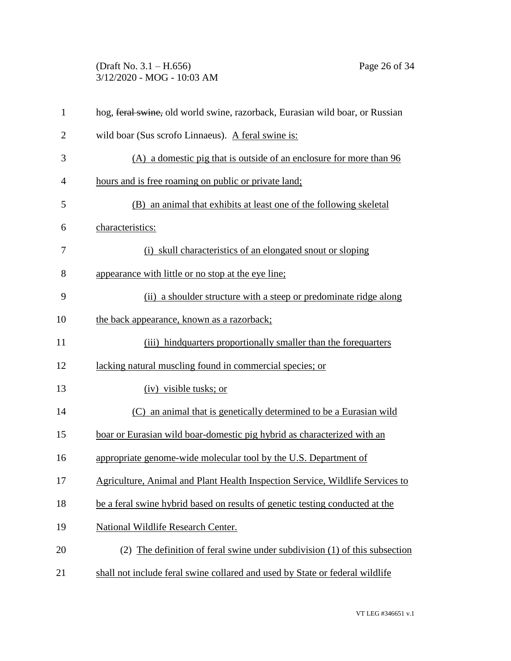# (Draft No. 3.1 – H.656) Page 26 of 34 3/12/2020 - MOG - 10:03 AM

| $\mathbf{1}$   | hog, feral swine, old world swine, razorback, Eurasian wild boar, or Russian  |
|----------------|-------------------------------------------------------------------------------|
| $\overline{2}$ | wild boar (Sus scrofo Linnaeus). A feral swine is:                            |
| 3              | (A) a domestic pig that is outside of an enclosure for more than 96           |
| $\overline{4}$ | hours and is free roaming on public or private land;                          |
| 5              | (B) an animal that exhibits at least one of the following skeletal            |
| 6              | characteristics:                                                              |
| 7              | (i) skull characteristics of an elongated snout or sloping                    |
| 8              | appearance with little or no stop at the eye line;                            |
| 9              | (ii) a shoulder structure with a steep or predominate ridge along             |
| 10             | the back appearance, known as a razorback;                                    |
| 11             | (iii) hind quarters proportionally smaller than the forequarters              |
| 12             | lacking natural muscling found in commercial species; or                      |
| 13             | (iv) visible tusks; or                                                        |
| 14             | an animal that is genetically determined to be a Eurasian wild<br>(C)         |
| 15             | boar or Eurasian wild boar-domestic pig hybrid as characterized with an       |
| 16             | appropriate genome-wide molecular tool by the U.S. Department of              |
| 17             | Agriculture, Animal and Plant Health Inspection Service, Wildlife Services to |
| 18             | be a feral swine hybrid based on results of genetic testing conducted at the  |
| 19             | National Wildlife Research Center.                                            |
| 20             | (2) The definition of feral swine under subdivision (1) of this subsection    |
| 21             | shall not include feral swine collared and used by State or federal wildlife  |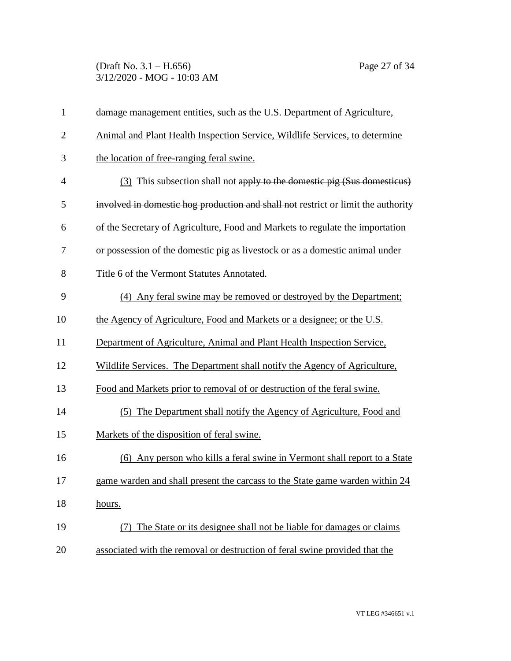(Draft No. 3.1 – H.656) Page 27 of 34 3/12/2020 - MOG - 10:03 AM

| $\mathbf{1}$   | damage management entities, such as the U.S. Department of Agriculture,           |
|----------------|-----------------------------------------------------------------------------------|
| $\overline{2}$ | Animal and Plant Health Inspection Service, Wildlife Services, to determine       |
| 3              | the location of free-ranging feral swine.                                         |
| 4              | (3) This subsection shall not apply to the domestic pig (Sus domesticus)          |
| 5              | involved in domestic hog production and shall not restrict or limit the authority |
| 6              | of the Secretary of Agriculture, Food and Markets to regulate the importation     |
| 7              | or possession of the domestic pig as livestock or as a domestic animal under      |
| 8              | Title 6 of the Vermont Statutes Annotated.                                        |
| 9              | (4) Any feral swine may be removed or destroyed by the Department;                |
| 10             | the Agency of Agriculture, Food and Markets or a designee; or the U.S.            |
| 11             | Department of Agriculture, Animal and Plant Health Inspection Service,            |
| 12             | Wildlife Services. The Department shall notify the Agency of Agriculture,         |
| 13             | Food and Markets prior to removal of or destruction of the feral swine.           |
| 14             | (5) The Department shall notify the Agency of Agriculture, Food and               |
| 15             | Markets of the disposition of feral swine.                                        |
| 16             | (6) Any person who kills a feral swine in Vermont shall report to a State         |
| 17             | game warden and shall present the carcass to the State game warden within 24      |
| 18             | hours.                                                                            |
| 19             | The State or its designee shall not be liable for damages or claims               |
| 20             | associated with the removal or destruction of feral swine provided that the       |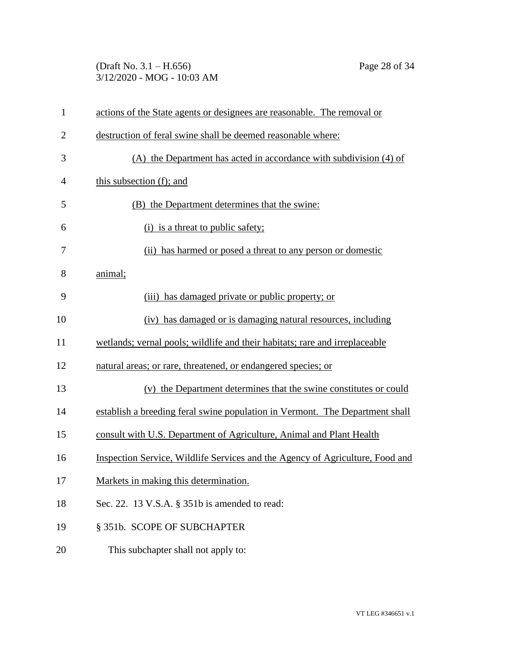# (Draft No. 3.1 – H.656) Page 28 of 34 3/12/2020 - MOG - 10:03 AM

| $\mathbf{1}$   | actions of the State agents or designees are reasonable. The removal or       |
|----------------|-------------------------------------------------------------------------------|
| $\overline{2}$ | destruction of feral swine shall be deemed reasonable where:                  |
| 3              | (A) the Department has acted in accordance with subdivision (4) of            |
| 4              | this subsection (f); and                                                      |
| 5              | (B) the Department determines that the swine:                                 |
| 6              | (i) is a threat to public safety;                                             |
| 7              | (ii) has harmed or posed a threat to any person or domestic                   |
| 8              | animal;                                                                       |
| 9              | (iii) has damaged private or public property; or                              |
| 10             | (iv) has damaged or is damaging natural resources, including                  |
| 11             | wetlands; vernal pools; wildlife and their habitats; rare and irreplaceable   |
| 12             | natural areas; or rare, threatened, or endangered species; or                 |
| 13             | (v) the Department determines that the swine constitutes or could             |
| 14             | establish a breeding feral swine population in Vermont. The Department shall  |
| 15             | consult with U.S. Department of Agriculture, Animal and Plant Health          |
| 16             | Inspection Service, Wildlife Services and the Agency of Agriculture, Food and |
| 17             | Markets in making this determination.                                         |
| 18             | Sec. 22. 13 V.S.A. § 351b is amended to read:                                 |
| 19             | § 351b. SCOPE OF SUBCHAPTER                                                   |
| 20             | This subchapter shall not apply to:                                           |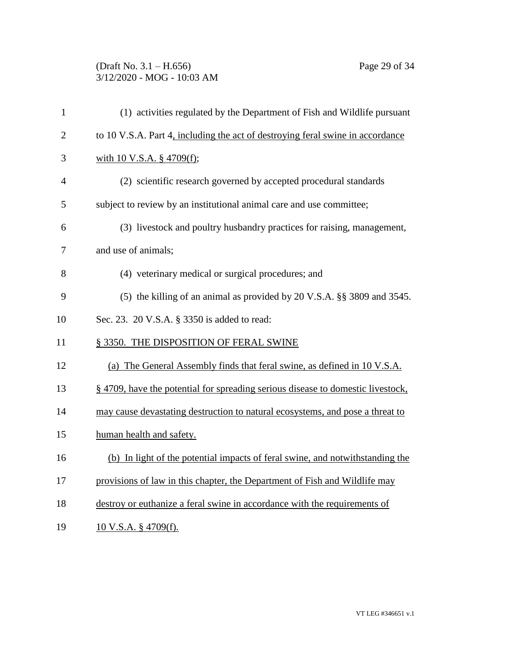## (Draft No. 3.1 – H.656) Page 29 of 34 3/12/2020 - MOG - 10:03 AM

| $\mathbf{1}$   | (1) activities regulated by the Department of Fish and Wildlife pursuant        |
|----------------|---------------------------------------------------------------------------------|
| $\overline{2}$ | to 10 V.S.A. Part 4, including the act of destroying feral swine in accordance  |
| 3              | with 10 V.S.A. § 4709(f);                                                       |
| 4              | (2) scientific research governed by accepted procedural standards               |
| 5              | subject to review by an institutional animal care and use committee;            |
| 6              | (3) livestock and poultry husbandry practices for raising, management,          |
| 7              | and use of animals;                                                             |
| 8              | (4) veterinary medical or surgical procedures; and                              |
| 9              | (5) the killing of an animal as provided by 20 V.S.A. §§ 3809 and 3545.         |
| 10             | Sec. 23. 20 V.S.A. § 3350 is added to read:                                     |
| 11             | § 3350. THE DISPOSITION OF FERAL SWINE                                          |
| 12             | (a) The General Assembly finds that feral swine, as defined in 10 V.S.A.        |
| 13             | § 4709, have the potential for spreading serious disease to domestic livestock, |
| 14             | may cause devastating destruction to natural ecosystems, and pose a threat to   |
| 15             | human health and safety.                                                        |
| 16             | (b) In light of the potential impacts of feral swine, and notwithstanding the   |
| 17             | provisions of law in this chapter, the Department of Fish and Wildlife may      |
| 18             | destroy or euthanize a feral swine in accordance with the requirements of       |
| 19             | 10 V.S.A. § 4709(f).                                                            |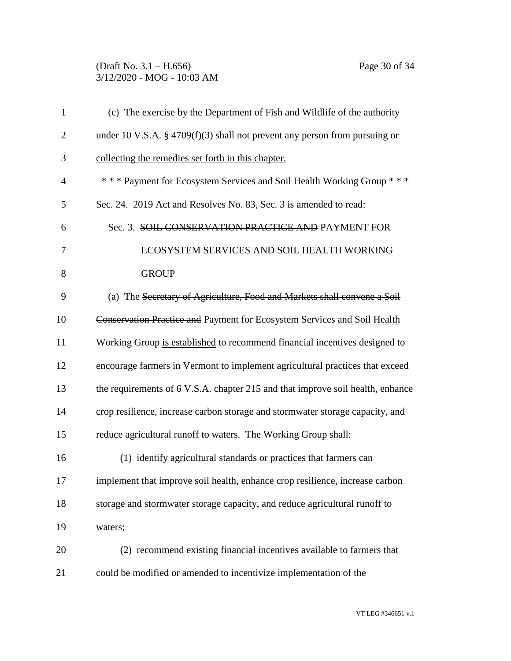(Draft No. 3.1 – H.656) Page 30 of 34 3/12/2020 - MOG - 10:03 AM

| $\mathbf{1}$   | (c) The exercise by the Department of Fish and Wildlife of the authority       |
|----------------|--------------------------------------------------------------------------------|
| $\overline{2}$ | under 10 V.S.A. § 4709(f)(3) shall not prevent any person from pursuing or     |
| 3              | collecting the remedies set forth in this chapter.                             |
| $\overline{4}$ | *** Payment for Ecosystem Services and Soil Health Working Group ***           |
| 5              | Sec. 24. 2019 Act and Resolves No. 83, Sec. 3 is amended to read:              |
| 6              | Sec. 3. SOIL CONSERVATION PRACTICE AND PAYMENT FOR                             |
| 7              | ECOSYSTEM SERVICES AND SOIL HEALTH WORKING                                     |
| 8              | <b>GROUP</b>                                                                   |
| 9              | (a) The Secretary of Agriculture, Food and Markets shall convene a Soil        |
| 10             | Conservation Practice and Payment for Ecosystem Services and Soil Health       |
| 11             | Working Group is established to recommend financial incentives designed to     |
| 12             | encourage farmers in Vermont to implement agricultural practices that exceed   |
| 13             | the requirements of 6 V.S.A. chapter 215 and that improve soil health, enhance |
| 14             | crop resilience, increase carbon storage and stormwater storage capacity, and  |
| 15             | reduce agricultural runoff to waters. The Working Group shall:                 |
| 16             | (1) identify agricultural standards or practices that farmers can              |
| 17             | implement that improve soil health, enhance crop resilience, increase carbon   |
| 18             | storage and stormwater storage capacity, and reduce agricultural runoff to     |
| 19             | waters;                                                                        |
| 20             | (2) recommend existing financial incentives available to farmers that          |
| 21             | could be modified or amended to incentivize implementation of the              |
|                |                                                                                |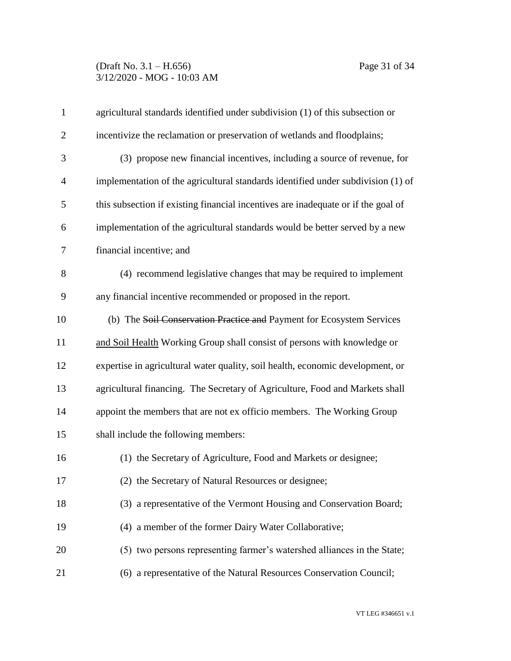## (Draft No. 3.1 – H.656) Page 31 of 34 3/12/2020 - MOG - 10:03 AM

| $\mathbf{1}$   | agricultural standards identified under subdivision (1) of this subsection or     |
|----------------|-----------------------------------------------------------------------------------|
| $\overline{2}$ | incentivize the reclamation or preservation of wetlands and floodplains;          |
| 3              | (3) propose new financial incentives, including a source of revenue, for          |
| $\overline{4}$ | implementation of the agricultural standards identified under subdivision (1) of  |
| 5              | this subsection if existing financial incentives are inadequate or if the goal of |
| 6              | implementation of the agricultural standards would be better served by a new      |
| 7              | financial incentive; and                                                          |
| 8              | (4) recommend legislative changes that may be required to implement               |
| 9              | any financial incentive recommended or proposed in the report.                    |
| 10             | (b) The Soil Conservation Practice and Payment for Ecosystem Services             |
| 11             | and Soil Health Working Group shall consist of persons with knowledge or          |
| 12             | expertise in agricultural water quality, soil health, economic development, or    |
| 13             | agricultural financing. The Secretary of Agriculture, Food and Markets shall      |
| 14             | appoint the members that are not ex officio members. The Working Group            |
| 15             | shall include the following members:                                              |
| 16             | (1) the Secretary of Agriculture, Food and Markets or designee;                   |
| 17             | (2) the Secretary of Natural Resources or designee;                               |
| 18             | (3) a representative of the Vermont Housing and Conservation Board;               |
| 19             | (4) a member of the former Dairy Water Collaborative;                             |
| 20             | (5) two persons representing farmer's watershed alliances in the State;           |
| 21             | (6) a representative of the Natural Resources Conservation Council;               |
|                |                                                                                   |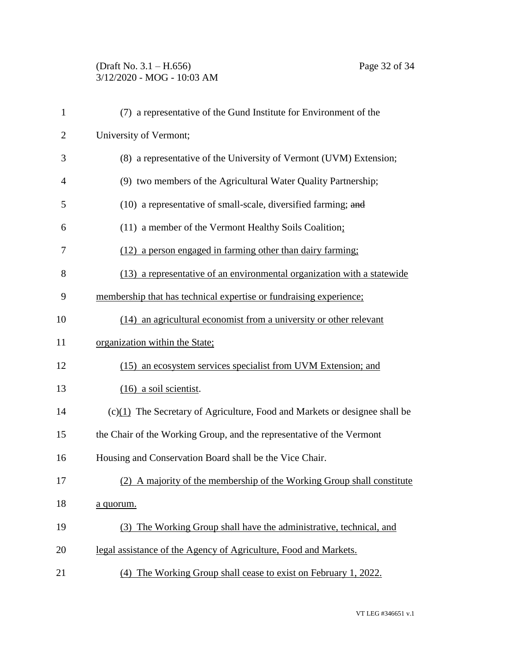# (Draft No. 3.1 – H.656) Page 32 of 34 3/12/2020 - MOG - 10:03 AM

| $\mathbf{1}$   | (7) a representative of the Gund Institute for Environment of the            |
|----------------|------------------------------------------------------------------------------|
| $\overline{2}$ | University of Vermont;                                                       |
| 3              | (8) a representative of the University of Vermont (UVM) Extension;           |
| $\overline{4}$ | (9) two members of the Agricultural Water Quality Partnership;               |
| 5              | (10) a representative of small-scale, diversified farming; and               |
| 6              | (11) a member of the Vermont Healthy Soils Coalition;                        |
| 7              | (12) a person engaged in farming other than dairy farming;                   |
| 8              | (13) a representative of an environmental organization with a statewide      |
| 9              | membership that has technical expertise or fundraising experience;           |
| 10             | (14) an agricultural economist from a university or other relevant           |
| 11             | organization within the State;                                               |
| 12             | (15) an ecosystem services specialist from UVM Extension; and                |
| 13             | $(16)$ a soil scientist.                                                     |
| 14             | $(c)(1)$ The Secretary of Agriculture, Food and Markets or designee shall be |
| 15             | the Chair of the Working Group, and the representative of the Vermont        |
| 16             | Housing and Conservation Board shall be the Vice Chair.                      |
| 17             | (2) A majority of the membership of the Working Group shall constitute       |
| 18             | a quorum.                                                                    |
| 19             | (3) The Working Group shall have the administrative, technical, and          |
| 20             | legal assistance of the Agency of Agriculture, Food and Markets.             |
| 21             | (4) The Working Group shall cease to exist on February 1, 2022.              |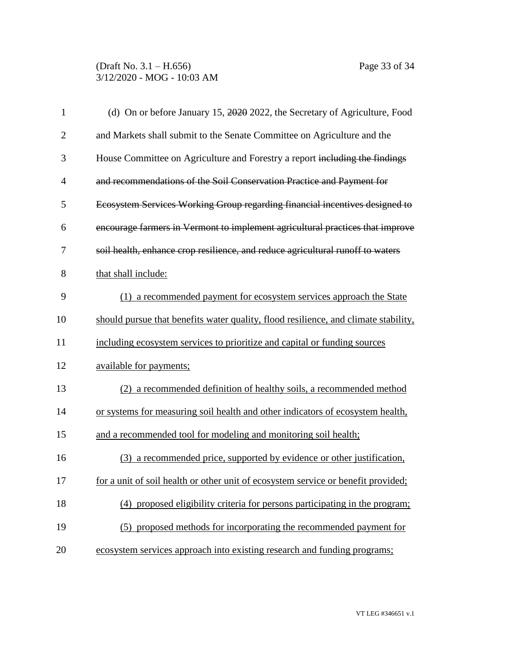| $\mathbf{1}$   | (d) On or before January 15, 2020 2022, the Secretary of Agriculture, Food          |
|----------------|-------------------------------------------------------------------------------------|
| $\overline{2}$ | and Markets shall submit to the Senate Committee on Agriculture and the             |
| 3              | House Committee on Agriculture and Forestry a report including the findings         |
| $\overline{4}$ | and recommendations of the Soil Conservation Practice and Payment for               |
| 5              | Ecosystem Services Working Group regarding financial incentives designed to         |
| 6              | encourage farmers in Vermont to implement agricultural practices that improve       |
| 7              | soil health, enhance crop resilience, and reduce agricultural runoff to waters      |
| 8              | that shall include:                                                                 |
| 9              | (1) a recommended payment for ecosystem services approach the State                 |
| 10             | should pursue that benefits water quality, flood resilience, and climate stability, |
| 11             | including ecosystem services to prioritize and capital or funding sources           |
| 12             | available for payments;                                                             |
| 13             | (2) a recommended definition of healthy soils, a recommended method                 |
| 14             | or systems for measuring soil health and other indicators of ecosystem health,      |
| 15             | and a recommended tool for modeling and monitoring soil health;                     |
| 16             | (3) a recommended price, supported by evidence or other justification,              |
| 17             | for a unit of soil health or other unit of ecosystem service or benefit provided;   |
| 18             | (4) proposed eligibility criteria for persons participating in the program;         |
| 19             | (5) proposed methods for incorporating the recommended payment for                  |
| 20             | ecosystem services approach into existing research and funding programs;            |